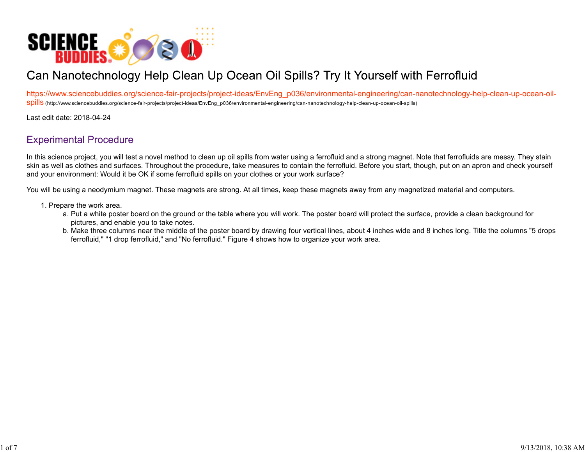

# Can Nanotechnology Help Clean Up Ocean Oil Spills? Try It Yourself with Ferrofluid

https://www.sciencebuddies.org/science-fair-projects/project-ideas/EnvEng\_p036/environmental-engineering/can-nanotechnology-help-clean-up-ocean-oil-Spills (http://www.sciencebuddies.org/science-fair-projects/project-ideas/EnvEng\_p036/environmental-engineering/can-nanotechnology-help-clean-up-ocean-oil-spills)

Last edit date: 2018-04-24

## Experimental Procedure

In this science project, you will test a novel method to clean up oil spills from water using a ferrofluid and a strong magnet. Note that ferrofluids are messy. They stain skin as well as clothes and surfaces. Throughout the procedure, take measures to contain the ferrofluid. Before you start, though, put on an apron and check yourself and your environment: Would it be OK if some ferrofluid spills on your clothes or your work surface?

You will be using a neodymium magnet. These magnets are strong. At all times, keep these magnets away from any magnetized material and computers.

- 1. Prepare the work area.
	- a. Put a white poster board on the ground or the table where you will work. The poster board will protect the surface, provide a clean background for pictures, and enable you to take notes.
	- b. Make three columns near the middle of the poster board by drawing four vertical lines, about 4 inches wide and 8 inches long. Title the columns "5 drops ferrofluid," "1 drop ferrofluid," and "No ferrofluid." Figure 4 shows how to organize your work area.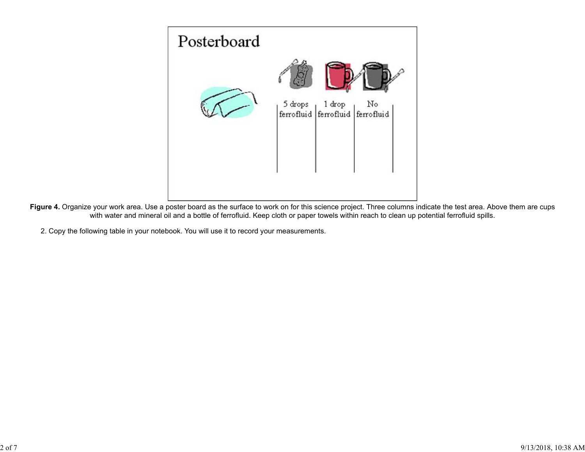

Figure 4. Organize your work area. Use a poster board as the surface to work on for this science project. Three columns indicate the test area. Above them are cups with water and mineral oil and a bottle of ferrofluid. Keep cloth or paper towels within reach to clean up potential ferrofluid spills.

2. Copy the following table in your notebook. You will use it to record your measurements.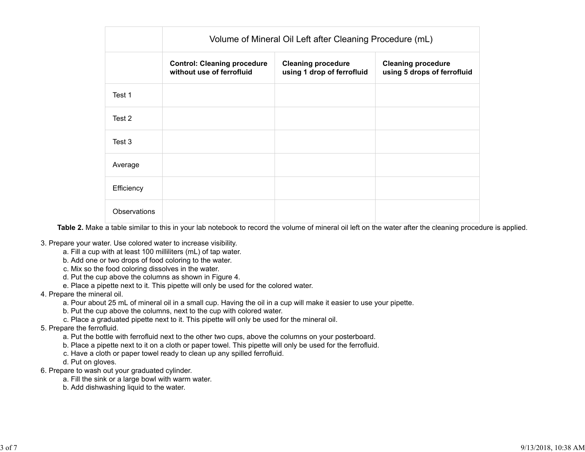|              | Volume of Mineral Oil Left after Cleaning Procedure (mL)        |                                                         |                                                          |
|--------------|-----------------------------------------------------------------|---------------------------------------------------------|----------------------------------------------------------|
|              | <b>Control: Cleaning procedure</b><br>without use of ferrofluid | <b>Cleaning procedure</b><br>using 1 drop of ferrofluid | <b>Cleaning procedure</b><br>using 5 drops of ferrofluid |
| Test 1       |                                                                 |                                                         |                                                          |
| Test 2       |                                                                 |                                                         |                                                          |
| Test 3       |                                                                 |                                                         |                                                          |
| Average      |                                                                 |                                                         |                                                          |
| Efficiency   |                                                                 |                                                         |                                                          |
| Observations |                                                                 |                                                         |                                                          |

**Table 2.** Make a table similar to this in your lab notebook to record the volume of mineral oil left on the water after the cleaning procedure is applied.

- 3. Prepare your water. Use colored water to increase visibility.
	- a. Fill a cup with at least 100 milliliters (mL) of tap water.
	- b. Add one or two drops of food coloring to the water.
	- c. Mix so the food coloring dissolves in the water.
	- d. Put the cup above the columns as shown in Figure 4.
	- e. Place a pipette next to it. This pipette will only be used for the colored water.

#### 4. Prepare the mineral oil.

- a. Pour about 25 mL of mineral oil in a small cup. Having the oil in a cup will make it easier to use your pipette.
- b. Put the cup above the columns, next to the cup with colored water.
- c. Place a graduated pipette next to it. This pipette will only be used for the mineral oil.

### 5. Prepare the ferrofluid.

- a. Put the bottle with ferrofluid next to the other two cups, above the columns on your posterboard.
- b. Place a pipette next to it on a cloth or paper towel. This pipette will only be used for the ferrofluid.
- c. Have a cloth or paper towel ready to clean up any spilled ferrofluid.
- d. Put on gloves.
- 6. Prepare to wash out your graduated cylinder.
	- a. Fill the sink or a large bowl with warm water.
	- b. Add dishwashing liquid to the water.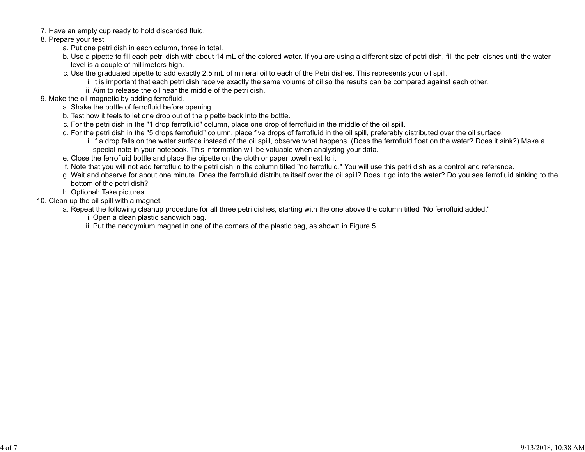7. Have an empty cup ready to hold discarded fluid.

8. Prepare your test.

- a. Put one petri dish in each column, three in total.
- b. Use a pipette to fill each petri dish with about 14 mL of the colored water. If you are using a different size of petri dish, fill the petri dishes until the water level is a couple of millimeters high.
- c. Use the graduated pipette to add exactly 2.5 mL of mineral oil to each of the Petri dishes. This represents your oil spill.
	- i. It is important that each petri dish receive exactly the same volume of oil so the results can be compared against each other.
	- ii. Aim to release the oil near the middle of the petri dish.
- 9. Make the oil magnetic by adding ferrofluid.
	- a. Shake the bottle of ferrofluid before opening.
	- b. Test how it feels to let one drop out of the pipette back into the bottle.
	- c. For the petri dish in the "1 drop ferrofluid" column, place one drop of ferrofluid in the middle of the oil spill.
	- d. For the petri dish in the "5 drops ferrofluid" column, place five drops of ferrofluid in the oil spill, preferably distributed over the oil surface.
		- i. If a drop falls on the water surface instead of the oil spill, observe what happens. (Does the ferrofluid float on the water? Does it sink?) Make a special note in your notebook. This information will be valuable when analyzing your data.
	- e. Close the ferrofluid bottle and place the pipette on the cloth or paper towel next to it.
	- f. Note that you will not add ferrofluid to the petri dish in the column titled "no ferrofluid." You will use this petri dish as a control and reference.
	- g. Wait and observe for about one minute. Does the ferrofluid distribute itself over the oil spill? Does it go into the water? Do you see ferrofluid sinking to the bottom of the petri dish?
	- h. Optional: Take pictures.
- 10. Clean up the oil spill with a magnet.
	- a. Repeat the following cleanup procedure for all three petri dishes, starting with the one above the column titled "No ferrofluid added."
		- i. Open a clean plastic sandwich bag.
		- ii. Put the neodymium magnet in one of the corners of the plastic bag, as shown in Figure 5.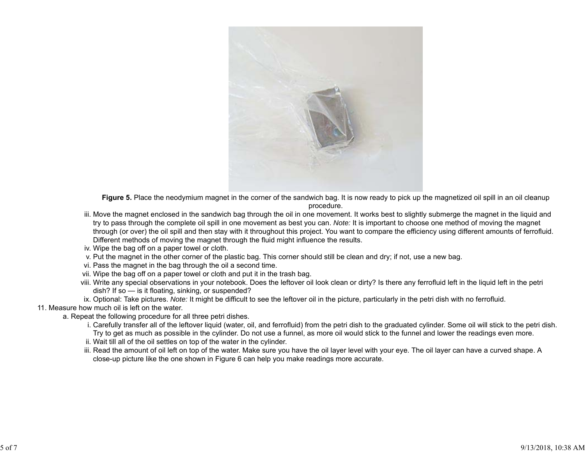

Figure 5. Place the neodymium magnet in the corner of the sandwich bag. It is now ready to pick up the magnetized oil spill in an oil cleanup procedure.

- iii. Move the magnet enclosed in the sandwich bag through the oil in one movement. It works best to slightly submerge the magnet in the liquid and try to pass through the complete oil spill in one movement as best you can. *Note:* It is important to choose one method of moving the magnet through (or over) the oil spill and then stay with it throughout this project. You want to compare the efficiency using different amounts of ferrofluid. Different methods of moving the magnet through the fluid might influence the results.
- iv. Wipe the bag off on a paper towel or cloth.
- v. Put the magnet in the other corner of the plastic bag. This corner should still be clean and dry; if not, use a new bag.
- vi. Pass the magnet in the bag through the oil a second time.
- vii. Wipe the bag off on a paper towel or cloth and put it in the trash bag.
- viii. Write any special observations in your notebook. Does the leftover oil look clean or dirty? Is there any ferrofluid left in the liquid left in the petri dish? If so — is it floating, sinking, or suspended?
- ix. Optional: Take pictures. *Note:* It might be difficult to see the leftover oil in the picture, particularly in the petri dish with no ferrofluid.

### 11. Measure how much oil is left on the water.

- a. Repeat the following procedure for all three petri dishes.
	- i. Carefully transfer all of the leftover liquid (water, oil, and ferrofluid) from the petri dish to the graduated cylinder. Some oil will stick to the petri dish. Try to get as much as possible in the cylinder. Do not use a funnel, as more oil would stick to the funnel and lower the readings even more.
	- ii. Wait till all of the oil settles on top of the water in the cylinder.
	- iii. Read the amount of oil left on top of the water. Make sure you have the oil layer level with your eye. The oil layer can have a curved shape. A close-up picture like the one shown in Figure 6 can help you make readings more accurate.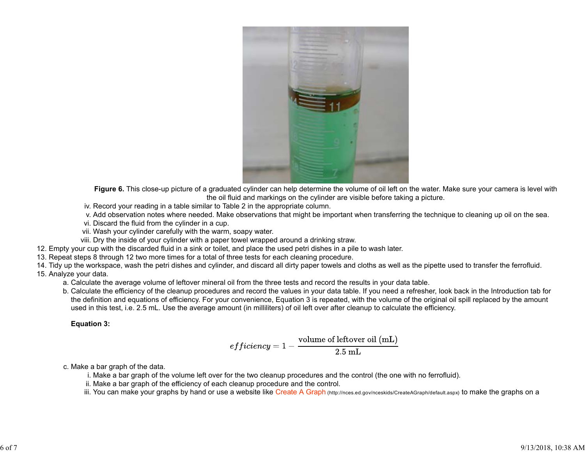

**Figure 6.** This close-up picture of a graduated cylinder can help determine the volume of oil left on the water. Make sure your camera is level with the oil fluid and markings on the cylinder are visible before taking a picture.

iv. Record your reading in a table similar to Table 2 in the appropriate column.

v. Add observation notes where needed. Make observations that might be important when transferring the technique to cleaning up oil on the sea.

vi. Discard the fluid from the cylinder in a cup.

vii. Wash your cylinder carefully with the warm, soapy water.

viii. Dry the inside of your cylinder with a paper towel wrapped around a drinking straw.

12. Empty your cup with the discarded fluid in a sink or toilet, and place the used petri dishes in a pile to wash later.

13. Repeat steps 8 through 12 two more times for a total of three tests for each cleaning procedure.

14. Tidy up the workspace, wash the petri dishes and cylinder, and discard all dirty paper towels and cloths as well as the pipette used to transfer the ferrofluid. 15. Analyze your data.

a. Calculate the average volume of leftover mineral oil from the three tests and record the results in your data table.

b. Calculate the efficiency of the cleanup procedures and record the values in your data table. If you need a refresher, look back in the Introduction tab for the definition and equations of efficiency. For your convenience, Equation 3 is repeated, with the volume of the original oil spill replaced by the amount used in this test, i.e. 2.5 mL. Use the average amount (in milliliters) of oil left over after cleanup to calculate the efficiency.

### **Equation 3:**

$$
efficiency = 1 - \frac{\text{volume of leftover oil (mL)}}{2.5\text{ mL}}
$$

c. Make a bar graph of the data.

i. Make a bar graph of the volume left over for the two cleanup procedures and the control (the one with no ferrofluid).

- ii. Make a bar graph of the efficiency of each cleanup procedure and the control.
- iii. You can make your graphs by hand or use a website like Create A Graph (http://nces.ed.gov/nceskids/CreateAGraph/default.aspx) to make the graphs on a